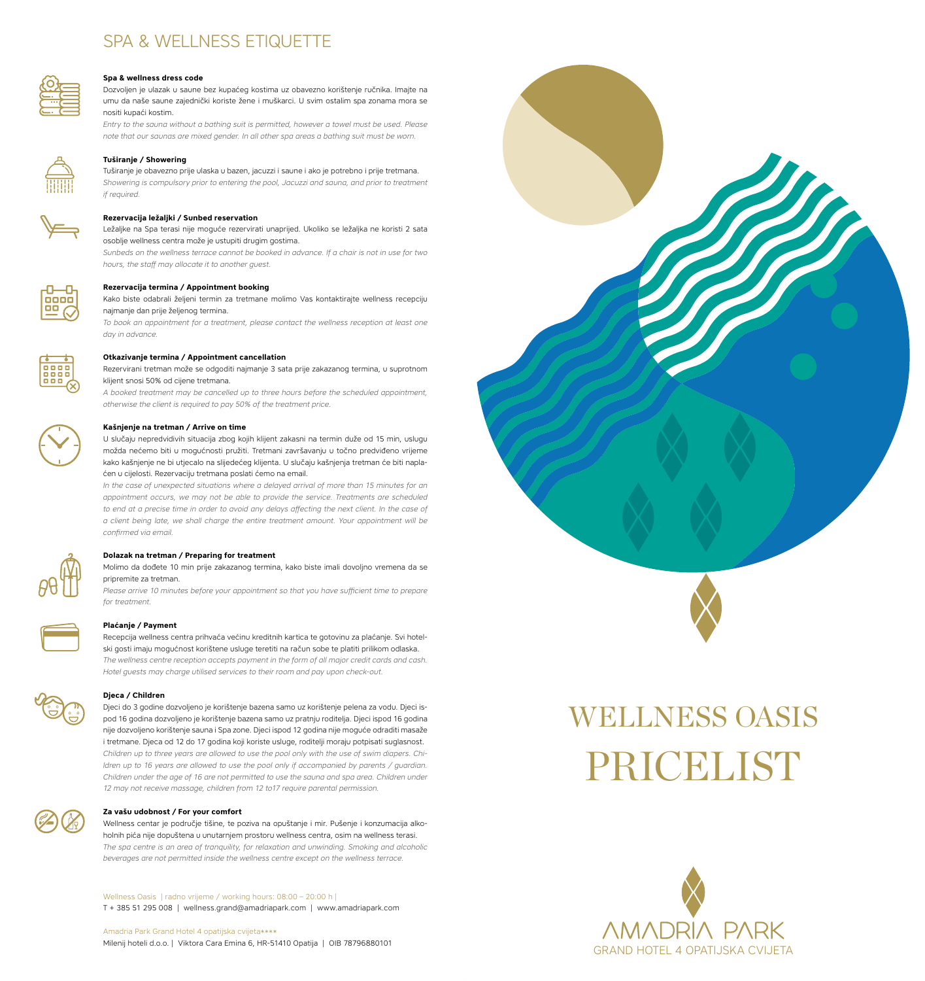## SPA & WELLNESS ETIQUETTE



#### **Spa & wellness dress code**

Dozvoljen je ulazak u saune bez kupaćeg kostima uz obavezno korištenje ručnika. Imajte na umu da naše saune zajednički koriste žene i muškarci. U svim ostalim spa zonama mora se nositi kupaći kostim.

*Entry to the sauna without a bathing suit is permitted, however a towel must be used. Please note that our saunas are mixed gender. In all other spa areas a bathing suit must be worn.*



#### **Tuširanje / Showering**

Tuširanje je obavezno prije ulaska u bazen, jacuzzi i saune i ako je potrebno i prije tretmana. *Showering is compulsory prior to entering the pool, Jacuzzi and sauna, and prior to treatment if required.*



Ležaljke na Spa terasi nije moguće rezervirati unaprijed. Ukoliko se ležaljka ne koristi 2 sata osoblje wellness centra može je ustupiti drugim gostima.

*Sunbeds on the wellness terrace cannot be booked in advance. If a chair is not in use for two hours, the staff may allocate it to another guest.*

#### **Rezervacija termina / Appointment booking**

Kako biste odabrali željeni termin za tretmane molimo Vas kontaktirajte wellness recepciju najmanje dan prije željenog termina.

*To book an appointment for a treatment, please contact the wellness reception at least one day in advance.*



**Otkazivanje termina / Appointment cancellation**

Rezervirani tretman može se odgoditi najmanje 3 sata prije zakazanog termina, u suprotnom klijent snosi 50% od cijene tretmana.

*A booked treatment may be cancelled up to three hours before the scheduled appointment, otherwise the client is required to pay 50% of the treatment price.*

#### **Kašnjenje na tretman / Arrive on time**

U slučaju nepredvidivih situacija zbog kojih klijent zakasni na termin duže od 15 min, uslugu možda nećemo biti u mogućnosti pružiti. Tretmani završavanju u točno predviđeno vrijeme kako kašnjenje ne bi utjecalo na slijedećeg klijenta. U slučaju kašnjenja tretman će biti naplaćen u cijelosti. Rezervaciju tretmana poslati ćemo na email.

*In the case of unexpected situations where a delayed arrival of more than 15 minutes for an appointment occurs, we may not be able to provide the service. Treatments are scheduled to end at a precise time in order to avoid any delays affecting the next client. In the case of a client being late, we shall charge the entire treatment amount. Your appointment will be confirmed via email.*

#### **Dolazak na tretman / Preparing for treatment**

Molimo da dođete 10 min prije zakazanog termina, kako biste imali dovoljno vremena da se pripremite za tretman.

*Please arrive 10 minutes before your appointment so that you have sufficient time to prepare for treatment.*



#### **Plaćanje / Payment**

Recepcija wellness centra prihvaća većinu kreditnih kartica te gotovinu za plaćanje. Svi hotelski gosti imaju mogućnost korištene usluge teretiti na račun sobe te platiti prilikom odlaska. *The wellness centre reception accepts payment in the form of all major credit cards and cash. Hotel guests may charge utilised services to their room and pay upon check-out.*



#### **Djeca / Children**

Djeci do 3 godine dozvoljeno je korištenje bazena samo uz korištenje pelena za vodu. Djeci ispod 16 godina dozvoljeno je korištenje bazena samo uz pratnju roditelja. Djeci ispod 16 godina nije dozvoljeno korištenje sauna i Spa zone. Djeci ispod 12 godina nije moguće odraditi masaže i tretmane. Djeca od 12 do 17 godina koji koriste usluge, roditelji moraju potpisati suglasnost. *Children up to three years are allowed to use the pool only with the use of swim diapers. Children up to 16 years are allowed to use the pool only if accompanied by parents / guardian. Children under the age of 16 are not permitted to use the sauna and spa area. Children under 12 may not receive massage, children from 12 to17 require parental permission.*

#### **Za vašu udobnost / For your comfort**

Wellness centar je područje tišine, te poziva na opuštanje i mir. Pušenje i konzumacija alkoholnih pića nije dopuštena u unutarnjem prostoru wellness centra, osim na wellness terasi. *The spa centre is an area of tranquility, for relaxation and unwinding. Smoking and alcoholic beverages are not permitted inside the wellness centre except on the wellness terrace.*

Wellness Oasis | radno vrijeme / working hours: 08:00 – 20:00 h | T + 385 51 295 008 | wellness.grand@amadriapark.com | www.amadriapark.com

Amadria Park Grand Hotel 4 opatijska cvijeta\*\*\*\* Milenij hoteli d.o.o. | Viktora Cara Emina 6, HR-51410 Opatija | OIB 78796880101

# wellness oasis **PRICELIST**